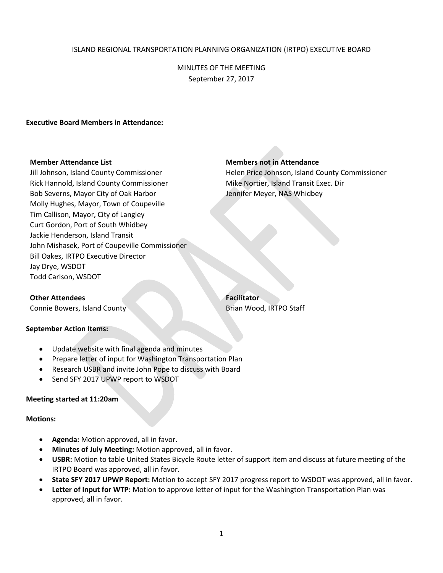# ISLAND REGIONAL TRANSPORTATION PLANNING ORGANIZATION (IRTPO) EXECUTIVE BOARD

MINUTES OF THE MEETING September 27, 2017

## **Executive Board Members in Attendance:**

Rick Hannold, Island County Commissioner **Mike Nortier, Island Transit Exec. Dir** Bob Severns, Mayor City of Oak Harbor Jennifer Meyer, NAS Whidbey Molly Hughes, Mayor, Town of Coupeville Tim Callison, Mayor, City of Langley Curt Gordon, Port of South Whidbey Jackie Henderson, Island Transit John Mishasek, Port of Coupeville Commissioner Bill Oakes, IRTPO Executive Director Jay Drye, WSDOT Todd Carlson, WSDOT

## **Member Attendance List Members not in Attendance**

Jill Johnson, Island County Commissioner Helen Price Johnson, Island County Commissioner

# **Other Attendees Facilitator**

Connie Bowers, Island County **Brian Wood, IRTPO Staff** 

#### **September Action Items:**

- Update website with final agenda and minutes
- Prepare letter of input for Washington Transportation Plan
- Research USBR and invite John Pope to discuss with Board
- Send SFY 2017 UPWP report to WSDOT

#### **Meeting started at 11:20am**

### **Motions:**

- **Agenda:** Motion approved, all in favor.
- **Minutes of July Meeting:** Motion approved, all in favor.
- **USBR:** Motion to table United States Bicycle Route letter of support item and discuss at future meeting of the IRTPO Board was approved, all in favor.
- **State SFY 2017 UPWP Report:** Motion to accept SFY 2017 progress report to WSDOT was approved, all in favor.
- **Letter of Input for WTP:** Motion to approve letter of input for the Washington Transportation Plan was approved, all in favor.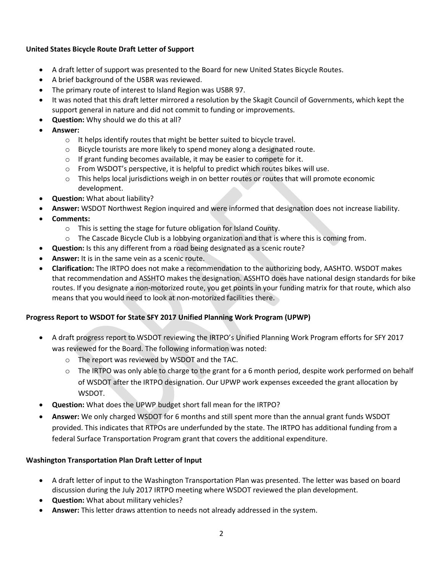# **United States Bicycle Route Draft Letter of Support**

- A draft letter of support was presented to the Board for new United States Bicycle Routes.
- A brief background of the USBR was reviewed.
- The primary route of interest to Island Region was USBR 97.
- It was noted that this draft letter mirrored a resolution by the Skagit Council of Governments, which kept the support general in nature and did not commit to funding or improvements.
- **Question:** Why should we do this at all?
- **Answer:** 
	- o It helps identify routes that might be better suited to bicycle travel.
	- o Bicycle tourists are more likely to spend money along a designated route.
	- o If grant funding becomes available, it may be easier to compete for it.
	- $\circ$  From WSDOT's perspective, it is helpful to predict which routes bikes will use.
	- o This helps local jurisdictions weigh in on better routes or routes that will promote economic development.
- **Question:** What about liability?
- **Answer:** WSDOT Northwest Region inquired and were informed that designation does not increase liability.
- **Comments:**
	- o This is setting the stage for future obligation for Island County.
	- $\circ$  The Cascade Bicycle Club is a lobbying organization and that is where this is coming from.
	- **Question:** Is this any different from a road being designated as a scenic route?
- **Answer:** It is in the same vein as a scenic route.
- **Clarification:** The IRTPO does not make a recommendation to the authorizing body, AASHTO. WSDOT makes that recommendation and ASSHTO makes the designation. ASSHTO does have national design standards for bike routes. If you designate a non-motorized route, you get points in your funding matrix for that route, which also means that you would need to look at non-motorized facilities there.

# **Progress Report to WSDOT for State SFY 2017 Unified Planning Work Program (UPWP)**

- A draft progress report to WSDOT reviewing the IRTPO's Unified Planning Work Program efforts for SFY 2017 was reviewed for the Board. The following information was noted:
	- o The report was reviewed by WSDOT and the TAC.
	- $\circ$  The IRTPO was only able to charge to the grant for a 6 month period, despite work performed on behalf of WSDOT after the IRTPO designation. Our UPWP work expenses exceeded the grant allocation by WSDOT.
- **Question:** What does the UPWP budget short fall mean for the IRTPO?
- **Answer:** We only charged WSDOT for 6 months and still spent more than the annual grant funds WSDOT provided. This indicates that RTPOs are underfunded by the state. The IRTPO has additional funding from a federal Surface Transportation Program grant that covers the additional expenditure.

# **Washington Transportation Plan Draft Letter of Input**

- A draft letter of input to the Washington Transportation Plan was presented. The letter was based on board discussion during the July 2017 IRTPO meeting where WSDOT reviewed the plan development.
- **Question:** What about military vehicles?
- **Answer:** This letter draws attention to needs not already addressed in the system.